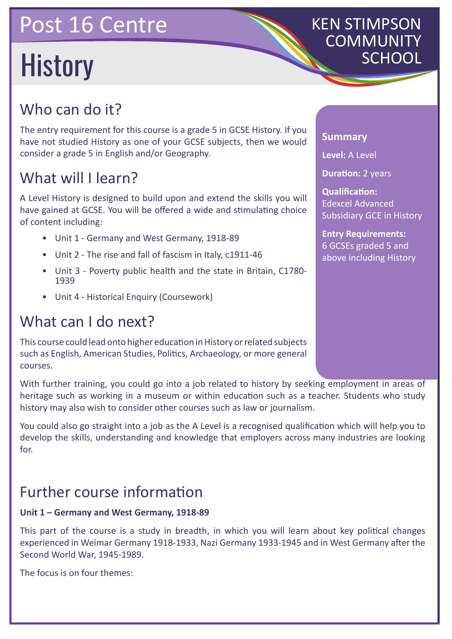# Post 16 Centre

# History

# KEN STIMPSON COMMUNITY

## Who can do it?

The entry requirement for this course is a grade 5 in GCSE History. If you have not studied History as one of your GCSE subjects, then we would consider a grade 5 in English and/or Geography.

## What will I learn?

A Level History is designed to build upon and extend the skills you will have gained at GCSE. You will be offered a wide and stimulating choice of content including:

- Unit 1 Germany and West Germany, 1918-89
- Unit 2 The rise and fall of fascism in Italy, c1911-46
- Unit 3 Poverty public health and the state in Britain, C1780- 1939
- Unit 4 Historical Enquiry (Coursework)

## What can I do next?

This course could lead onto higher education in History or related subjects such as English, American Studies, Politics, Archaeology, or more general courses.

With further training, you could go into a job related to history by seeking employment in areas of heritage such as working in a museum or within education such as a teacher. Students who study history may also wish to consider other courses such as law or journalism.

You could also go straight into a job as the A Level is a recognised qualification which will help you to develop the skills, understanding and knowledge that employers across many industries are looking for.

## Further course information

#### **Unit 1 – Germany and West Germany, 1918-89**

This part of the course is a study in breadth, in which you will learn about key political changes experienced in Weimar Germany 1918-1933, Nazi Germany 1933-1945 and in West Germany after the Second World War, 1945-1989.

The focus is on four themes:

#### **Summary**

**Level:** A Level

**Duration: 2 years** 

**Qualification:** Edexcel Advanced Subsidiary GCE in History

**Entry Requirements:** 6 GCSEs graded 5 and above including History